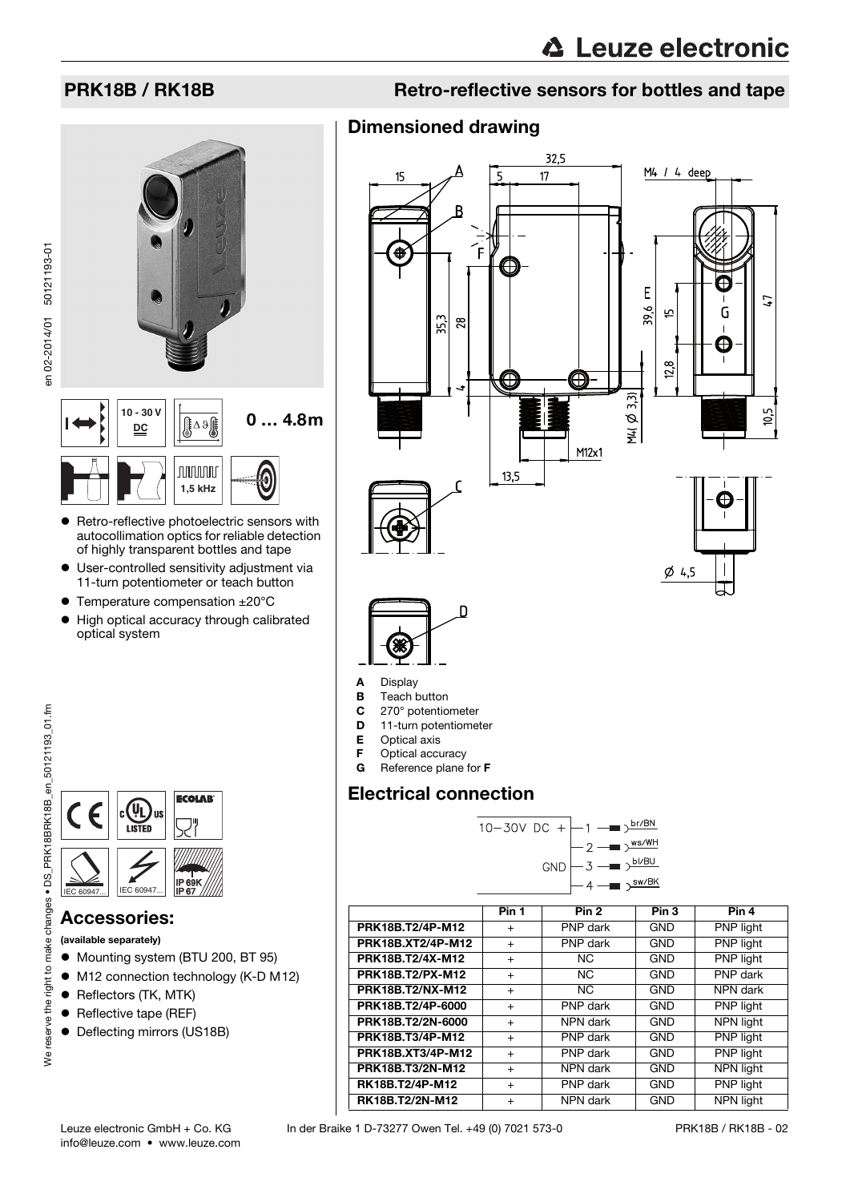en 02-2014/01 50121193-01

en 02-2014/01 50121193-01





- **•** Retro-reflective photoelectric sensors with autocollimation optics for reliable detection of highly transparent bottles and tape
- User-controlled sensitivity adjustment via 11-turn potentiometer or teach button
- Temperature compensation ±20°C
- $\bullet$  High optical accuracy through calibrated optical system



## Accessories:

(available separately)

- $\bullet$  Mounting system (BTU 200, BT 95)
- M12 connection technology (K-D M12)
- Reflectors (TK, MTK)
- Reflective tape (REF)
- Deflecting mirrors (US18B)

# PRK18B / RK18B Retro-reflective sensors for bottles and tape

# Dimensioned drawing



- **B** Teach button<br>**C** 270° potentio
- $C = 270^\circ$  potentiometer<br> $D = 11$ -turn potentiomer
- 11-turn potentiometer
- E Optical axis
- **F** Optical accuracy<br>**G** Reference plane
- Reference plane for F

# Electrical connection

| 10-30V DC + $-1$ - $\frac{\text{br/BN}}{}$ |  |  |                                             |
|--------------------------------------------|--|--|---------------------------------------------|
|                                            |  |  | $-2$ $ \rightarrow$ $\frac{\text{ws/WH}}{}$ |
|                                            |  |  | $GND \rightarrow 3 \rightarrow bVBU$        |
|                                            |  |  | $4 - 3$                                     |

<span id="page-0-0"></span>

|                         | Pin 1     | Pin <sub>2</sub> | Pin <sub>3</sub> | Pin 4            |
|-------------------------|-----------|------------------|------------------|------------------|
| PRK18B.T2/4P-M12        | $+$       | PNP dark         | <b>GND</b>       | PNP light        |
| PRK18B.XT2/4P-M12       | $\ddot{}$ | PNP dark         | <b>GND</b>       | PNP light        |
| PRK18B.T2/4X-M12        | $\ddot{}$ | <b>NC</b>        | <b>GND</b>       | PNP light        |
| PRK18B.T2/PX-M12        | $+$       | <b>NC</b>        | <b>GND</b>       | PNP dark         |
| <b>PRK18B.T2/NX-M12</b> | $^{+}$    | NC.              | <b>GND</b>       | NPN dark         |
| PRK18B.T2/4P-6000       | $\ddot{}$ | PNP dark         | GND              | PNP light        |
| PRK18B.T2/2N-6000       | $\ddot{}$ | NPN dark         | <b>GND</b>       | NPN light        |
| PRK18B.T3/4P-M12        | $\ddot{}$ | PNP dark         | <b>GND</b>       | PNP light        |
| PRK18B.XT3/4P-M12       | $+$       | PNP dark         | <b>GND</b>       | PNP light        |
| PRK18B.T3/2N-M12        | $^{+}$    | NPN dark         | <b>GND</b>       | NPN light        |
| RK18B.T2/4P-M12         | $\ddot{}$ | PNP dark         | <b>GND</b>       | PNP light        |
| RK18B.T2/2N-M12         | $+$       | NPN dark         | <b>GND</b>       | <b>NPN light</b> |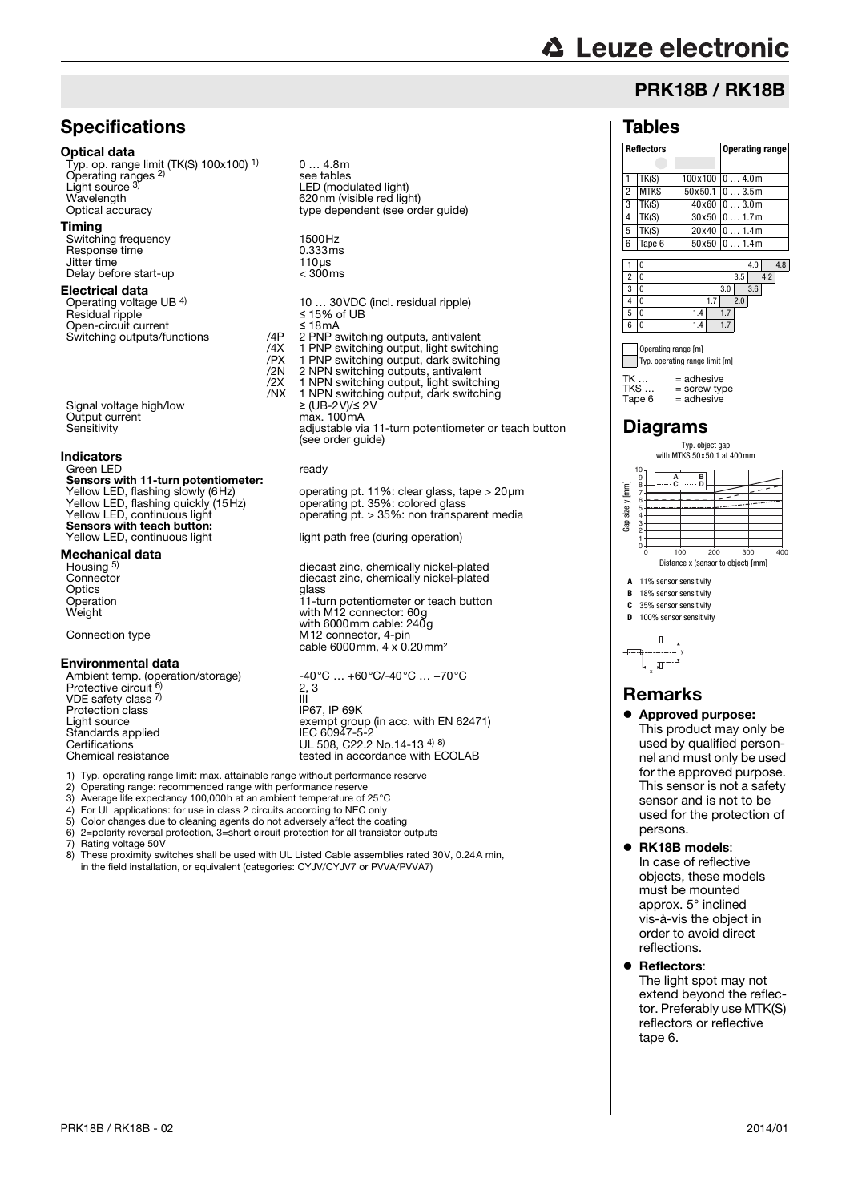# **∆ Leuze electronic**

# PRK18B / RK18B

### **Tables**

|                                                                     | <b>Reflectors</b>  |         | Operating range |  |  |  |  |  |  |
|---------------------------------------------------------------------|--------------------|---------|-----------------|--|--|--|--|--|--|
|                                                                     |                    |         |                 |  |  |  |  |  |  |
| 1                                                                   | TK(S)              | 100x100 | 04.0m           |  |  |  |  |  |  |
| $\frac{2}{3}$                                                       | <b>MTKS</b>        | 50x50.1 | 03.5m           |  |  |  |  |  |  |
|                                                                     | TK(S)              | 40x60   | 03.0m           |  |  |  |  |  |  |
| $\overline{4}$                                                      | TK(S)              | 30x50   | 01.7m           |  |  |  |  |  |  |
| $\overline{5}$                                                      | $\overline{T}K(S)$ | 20x40   | 01.4m           |  |  |  |  |  |  |
| 6                                                                   | Tape 6             | 50x50   | 01.4m           |  |  |  |  |  |  |
|                                                                     |                    |         |                 |  |  |  |  |  |  |
| 1                                                                   | 0                  |         | 4.0<br>4.8      |  |  |  |  |  |  |
| $\overline{c}$                                                      | $\Omega$           |         | 4.2<br>3.5      |  |  |  |  |  |  |
| 3                                                                   | $\Omega$           |         | 3.6<br>3.0      |  |  |  |  |  |  |
| $\overline{4}$                                                      | $\Omega$           | 1.7     | 2.0             |  |  |  |  |  |  |
| 5                                                                   | $\Omega$           | 1.4     | 1.7             |  |  |  |  |  |  |
| 6                                                                   | 0                  | 1.4     | 1.7             |  |  |  |  |  |  |
| Operating range [m]<br>Typ. operating range limit [m]               |                    |         |                 |  |  |  |  |  |  |
| TK<br>$=$ adhesive<br>TKS<br>= screw type<br>$=$ adhesive<br>Tape 6 |                    |         |                 |  |  |  |  |  |  |
| <b>Diagrams</b>                                                     |                    |         |                 |  |  |  |  |  |  |



- **A** 11% sensor sensitivity
- **B** 18% sensor sensitivity
- **C** 35% sensor sensitivity<br>**D** 100% sensor sensitivity **D** 100% sensor sensitivity

y x

# Remarks

- Approved purpose: This product may only be used by qualified personnel and must only be used for the approved purpose. This sensor is not a safety sensor and is not to be used for the protection of persons.
- RK18B models: In case of reflective objects, these models must be mounted approx. 5° inclined vis-à-vis the object in order to avoid direct reflections.
	- Reflectors: The light spot may not extend beyond the reflector. Preferably use MTK(S) reflectors or reflective tape 6.

# **Specifications**

#### Optical data

Typ. op. range limit (TK(S) 100x100) 1) Operating ranges 2) Light source 3) Wavelength 620nm (visible red light)<br>
Optical accuracy contract type dependent (see or

#### Timing

Switching frequency 1500Hz<br>Response time 1.333ms Response time  $\frac{1}{10}$  0.333ms Jitter time 110μs<br>Delay before start-up delay to the 200ms Delay before start-up

#### Electrical data

Operating voltage UB <sup>4)</sup><br>Residual ripple Open-circuit current ≤ 18mA<br>Switching outputs/functions < 18mA<br>Switching outputs/functions /4P 2 PNP s

Signal voltage high/low  $≥ (UB-2V)/≤ 2$ <br>Output current max. 100mA Output current<br>Sensitivity

#### Indicators

Green LED ready Sensors with 11-turn potentiometer:<br>Yellow LED, flashing slowly (6Hz) Yellow LED, flashing quickly (15Hz) Yellow LED, continuous light<br>Sensors with teach button: Yellow LED, continuous light light path free (during operation)

#### Mechanical data

Housing <sup>5)</sup><br>Connector

#### Environmental data

Ambient temp. (operation/storage) -40°C … +60°C/-40°C … +70°C<br>Protective circuit <sup>6)</sup> 2, 3 VDE safety class 7) Protection class IP67, IP 69K Standards applied<br>Certifications Examples UL 508, C22.2 No.14-13 4) 8)<br>Certifications UL 508, C22.2 No.14-13 4) 8)<br>Chemical resistance tested in accordance with EQ

Operating voltage UB <sup>4)</sup> 10 … 30VDC (incl. residual ripple)<br>Residual ripple ≤ 15% of UB <sup>2</sup> PNP switching outputs, antivalent<br>/4X 1 PNP switching output, light switch /4X 1 PNP switching output, light switching /PX 1 PNP switching output, dark switching /2N 2 NPN switching outputs, antivalent /2X 1 NPN switching output, light switching  $\overline{/NX}$  1 NPN switching output, dark switching<br> $\geq$  (UB-2V)/ $\leq$  2V man recritivity. (see order guide)

0 … 4.8m

see tables

LED (modulated light)

type dependent (see order guide)

operating pt. 11%: clear glass, tape > 20μm<br>operating pt. 35%: colored glass operating pt.  $> 35\%$ : non transparent media

diecast zinc, chemically nickel-plated Connector diecast zinc, chemically nickel-plated<br>Optics dass dass dass Optics glass Operation 11-turn potentiometer or teach button Operation<br>
Weight Weight Weight Weight with M12 connector: 60g with 6000mm cable: 240g<br>Connection type **1996** M12 connector. 4-pin Connection type  $M12$  connector, 4-pin cable 6000mm, 4 x 0.20mm<sup>2</sup>

2, 3 III VDE sarety class<br>
Protection class<br>
Light source<br>
Light source<br>
Light source<br>
Contract the exempt group (in acc. with EN 62471) tested in accordance with ECOLAB

1) Typ. operating range limit: max. attainable range without performance reserve

- 2) Operating range: recommended range with performance reserve
- 3) Average life expectancy 100,000h at an ambient temperature of 25°C

4) For UL applications: for use in class 2 circuits according to NEC only<br>5) Color changes due to cleaning agents do not adversely affect the coast

5) Color changes due to cleaning agents do not adversely affect the coating 6)  $2 =$ polarity reversal protection, 3=short circuit protection for all transistor of 6) 2=polarity reversal protection, 3=short circuit protection for all transistor outputs

7) Rating voltage 50V<br>8) These proximity sw

8) These proximity switches shall be used with UL Listed Cable assemblies rated 30V, 0.24A min, in the field installation, or equivalent (categories: CYJV/CYJV7 or PVVA/PVVA7)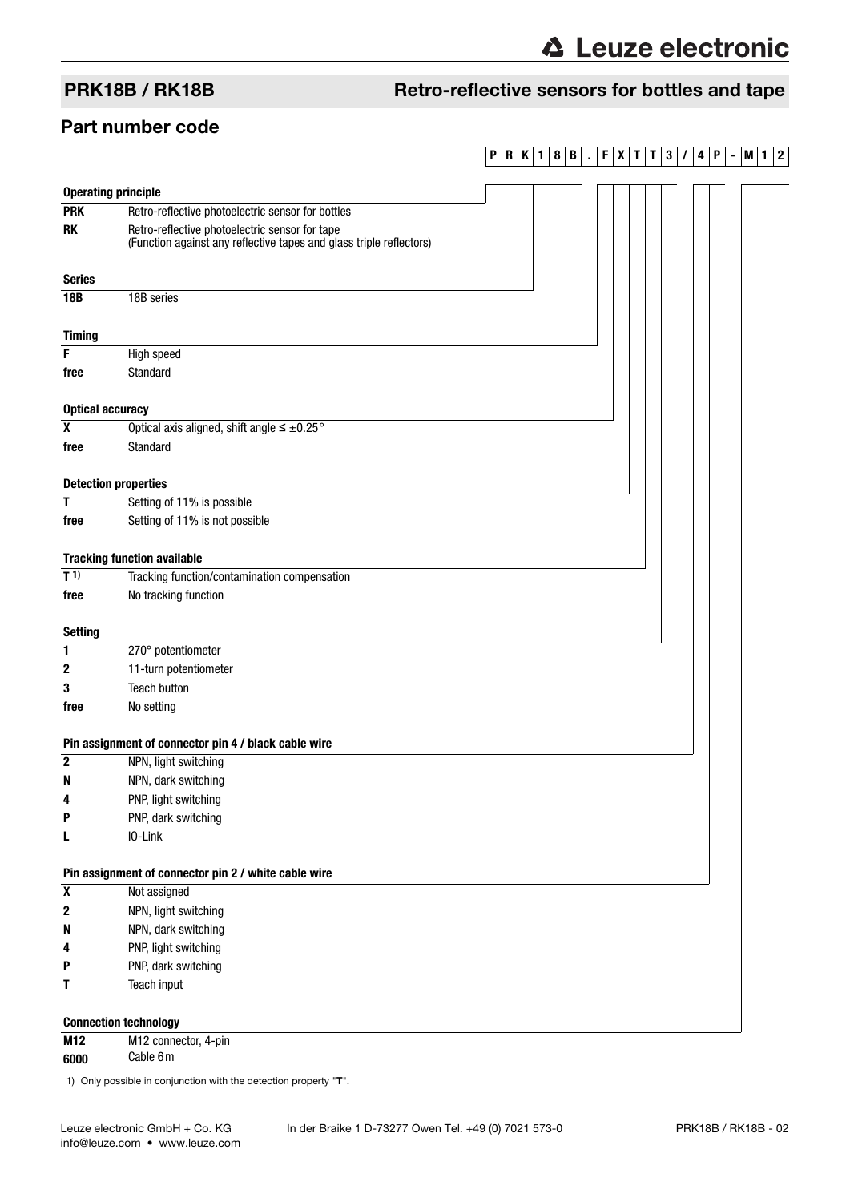# PRK18B / RK18B Retro-reflective sensors for bottles and tape

## Part number code

## **PRK1 8B . FXT T 3 / 4P -M1 2**

| <b>Operating principle</b>   |                                                                                                                       |
|------------------------------|-----------------------------------------------------------------------------------------------------------------------|
| <b>PRK</b>                   | Retro-reflective photoelectric sensor for bottles                                                                     |
| <b>RK</b>                    | Retro-reflective photoelectric sensor for tape<br>(Function against any reflective tapes and glass triple reflectors) |
| <b>Series</b>                |                                                                                                                       |
| <b>18B</b>                   | 18B series                                                                                                            |
|                              |                                                                                                                       |
| <b>Timing</b>                |                                                                                                                       |
| F                            | High speed                                                                                                            |
| free                         | Standard                                                                                                              |
|                              |                                                                                                                       |
| <b>Optical accuracy</b>      |                                                                                                                       |
| $\pmb{\chi}$                 | Optical axis aligned, shift angle $\leq \pm 0.25$ °                                                                   |
| free                         | <b>Standard</b>                                                                                                       |
|                              |                                                                                                                       |
| <b>Detection properties</b>  |                                                                                                                       |
| T                            | Setting of 11% is possible                                                                                            |
| free                         | Setting of 11% is not possible                                                                                        |
|                              |                                                                                                                       |
|                              | <b>Tracking function available</b>                                                                                    |
| $T^{1}$                      | Tracking function/contamination compensation                                                                          |
| free                         | No tracking function                                                                                                  |
|                              |                                                                                                                       |
| <b>Setting</b>               |                                                                                                                       |
| 1                            | 270° potentiometer                                                                                                    |
| 2                            | 11-turn potentiometer                                                                                                 |
| 3                            | <b>Teach button</b>                                                                                                   |
| free                         | No setting                                                                                                            |
|                              | Pin assignment of connector pin 4 / black cable wire                                                                  |
| $\mathbf 2$                  | NPN, light switching                                                                                                  |
| N                            | NPN, dark switching                                                                                                   |
| 4                            | PNP, light switching                                                                                                  |
| Р                            | PNP, dark switching                                                                                                   |
| L                            | IO-Link                                                                                                               |
|                              |                                                                                                                       |
|                              | Pin assignment of connector pin 2 / white cable wire                                                                  |
| $\pmb{\mathsf{X}}$           | Not assigned                                                                                                          |
| $\boldsymbol{2}$             | NPN, light switching                                                                                                  |
| N                            | NPN, dark switching                                                                                                   |
| 4                            | PNP, light switching                                                                                                  |
| P                            | PNP, dark switching                                                                                                   |
| Τ                            | Teach input                                                                                                           |
|                              |                                                                                                                       |
| <b>Connection technology</b> |                                                                                                                       |
| M12                          | M12 connector, 4-pin                                                                                                  |

**6000** Cable 6m

1) Only possible in conjunction with the detection property "T".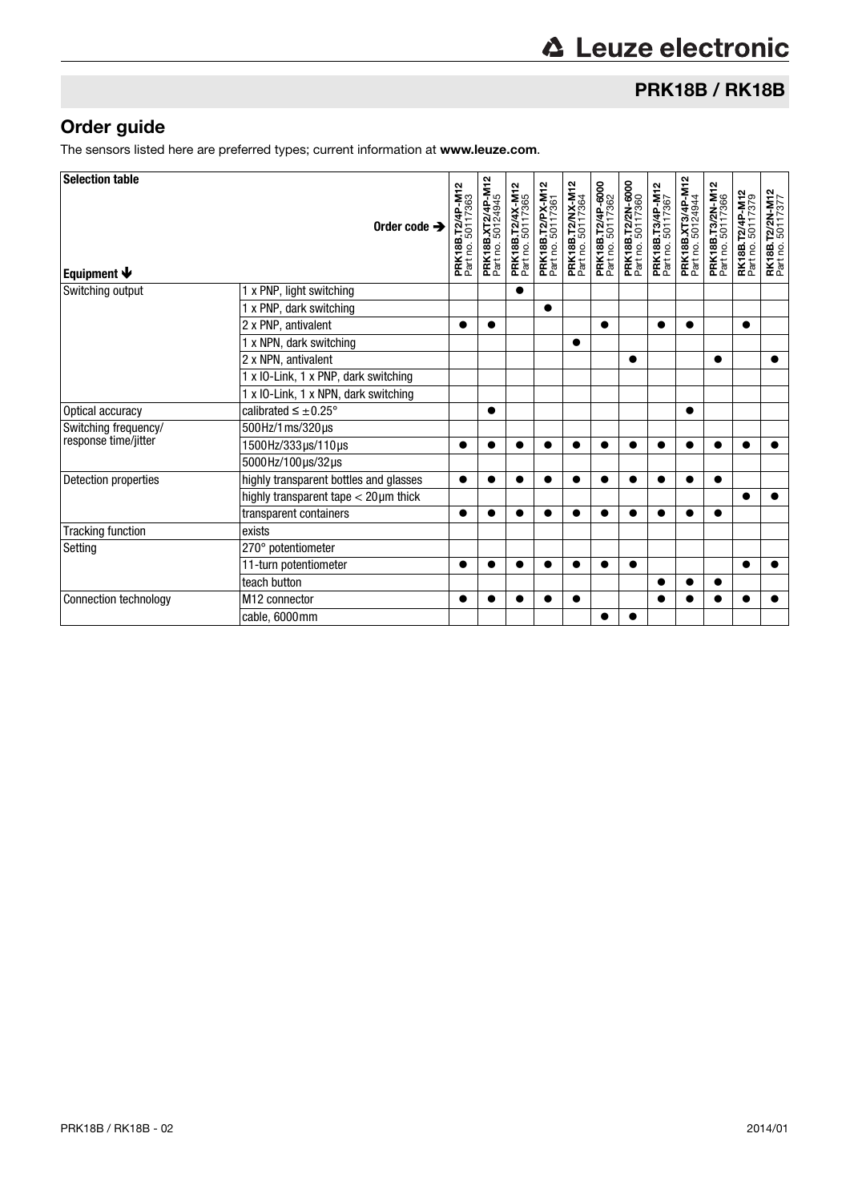# PRK18B / RK18B

# Order guide

The sensors listed here are preferred types; current information at www.leuze.com.

| <b>Selection table</b>    |                                              |                                                |                                               |                                       |                                              |                                       |                                        |                                        |                                       |                                        |                                       |                                      |                                             |
|---------------------------|----------------------------------------------|------------------------------------------------|-----------------------------------------------|---------------------------------------|----------------------------------------------|---------------------------------------|----------------------------------------|----------------------------------------|---------------------------------------|----------------------------------------|---------------------------------------|--------------------------------------|---------------------------------------------|
| Equipment $\blacklozenge$ | Order code $\rightarrow$                     | 4P-M12<br>50117363<br>פֿ<br>PRK18B<br>Part no. | <b>PRK18B.XT2/4P-M12</b><br>Part no. 50124945 | PRK18B.T2/4X-M12<br>Part no. 50117365 | <b>PRK18B.T2/PX-M12</b><br>Part no. 50117361 | PRK18B.T2/NX-M12<br>Part no. 50117364 | PRK18B.T2/4P-6000<br>Part no. 50117362 | PRK18B.T2/2N-6000<br>Part no. 50117360 | PRK18B.T3/4P-M12<br>Part no. 50117367 | PRK18B.XT3/4P-M12<br>Part no. 50124944 | PRK18B.T3/2N-M12<br>Part no. 50117366 | RK18B.T2/4P-M12<br>Part no. 50117379 | <b>RK18B.T2/2N-M12</b><br>Part no. 50117377 |
| Switching output          | 1 x PNP, light switching                     |                                                |                                               |                                       |                                              |                                       |                                        |                                        |                                       |                                        |                                       |                                      |                                             |
|                           | 1 x PNP, dark switching                      |                                                |                                               |                                       | $\bullet$                                    |                                       |                                        |                                        |                                       |                                        |                                       |                                      |                                             |
|                           | 2 x PNP, antivalent                          |                                                | $\bullet$                                     |                                       |                                              |                                       | $\bullet$                              |                                        |                                       | $\bullet$                              |                                       | $\bullet$                            |                                             |
|                           | 1 x NPN, dark switching                      |                                                |                                               |                                       |                                              | ●                                     |                                        |                                        |                                       |                                        |                                       |                                      |                                             |
|                           | 2 x NPN, antivalent                          |                                                |                                               |                                       |                                              |                                       |                                        |                                        |                                       |                                        | $\bullet$                             |                                      |                                             |
|                           | 1 x IO-Link, 1 x PNP, dark switching         |                                                |                                               |                                       |                                              |                                       |                                        |                                        |                                       |                                        |                                       |                                      |                                             |
|                           | 1 x IO-Link, 1 x NPN, dark switching         |                                                |                                               |                                       |                                              |                                       |                                        |                                        |                                       |                                        |                                       |                                      |                                             |
| Optical accuracy          | calibrated $\leq \pm 0.25^{\circ}$           |                                                | $\bullet$                                     |                                       |                                              |                                       |                                        |                                        |                                       | $\bullet$                              |                                       |                                      |                                             |
| Switching frequency/      | 500Hz/1ms/320µs                              |                                                |                                               |                                       |                                              |                                       |                                        |                                        |                                       |                                        |                                       |                                      |                                             |
| response time/jitter      | 1500Hz/333µs/110µs                           |                                                | $\bullet$                                     |                                       | ●                                            |                                       | ●                                      |                                        |                                       | $\bullet$                              |                                       | ●                                    |                                             |
|                           | 5000Hz/100µs/32µs                            |                                                |                                               |                                       |                                              |                                       |                                        |                                        |                                       |                                        |                                       |                                      |                                             |
| Detection properties      | highly transparent bottles and glasses       | ●                                              |                                               |                                       |                                              |                                       |                                        |                                        |                                       |                                        |                                       |                                      |                                             |
|                           | highly transparent tape $<$ 20 $\mu$ m thick |                                                |                                               |                                       |                                              |                                       |                                        |                                        |                                       |                                        |                                       |                                      |                                             |
|                           | transparent containers                       |                                                |                                               |                                       |                                              |                                       |                                        |                                        |                                       |                                        |                                       |                                      |                                             |
| <b>Tracking function</b>  | exists                                       |                                                |                                               |                                       |                                              |                                       |                                        |                                        |                                       |                                        |                                       |                                      |                                             |
| Setting                   | 270° potentiometer                           |                                                |                                               |                                       |                                              |                                       |                                        |                                        |                                       |                                        |                                       |                                      |                                             |
|                           | 11-turn potentiometer                        |                                                |                                               |                                       |                                              |                                       |                                        |                                        |                                       |                                        |                                       | $\bullet$                            |                                             |
|                           | teach button                                 |                                                |                                               |                                       |                                              |                                       |                                        |                                        |                                       |                                        |                                       |                                      |                                             |
| Connection technology     | M12 connector                                |                                                |                                               |                                       |                                              |                                       |                                        |                                        |                                       |                                        |                                       |                                      |                                             |
|                           | cable, 6000mm                                |                                                |                                               |                                       |                                              |                                       | 0                                      |                                        |                                       |                                        |                                       |                                      |                                             |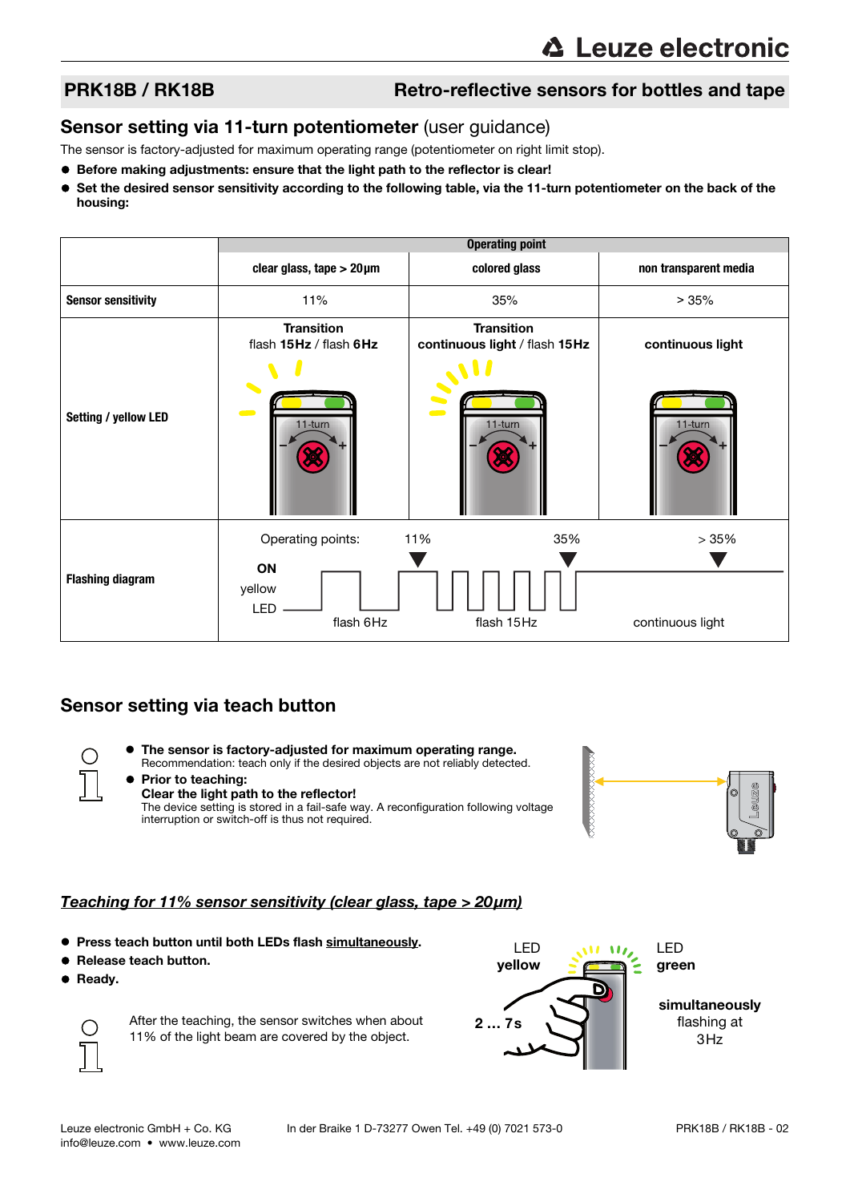## PRK18B / RK18B Retro-reflective sensors for bottles and tape

### Sensor setting via 11-turn potentiometer (user guidance)

The sensor is factory-adjusted for maximum operating range (potentiometer on right limit stop).

- Before making adjustments: ensure that the light path to the reflector is clear!
- Set the desired sensor sensitivity according to the following table, via the 11-turn potentiometer on the back of the housing:

|                           | <b>Operating point</b>                         |                                                    |                       |  |  |  |  |  |  |
|---------------------------|------------------------------------------------|----------------------------------------------------|-----------------------|--|--|--|--|--|--|
|                           | clear glass, tape $>$ 20 $\mu$ m               | colored glass                                      | non transparent media |  |  |  |  |  |  |
| <b>Sensor sensitivity</b> | 11%                                            | 35%                                                | >35%                  |  |  |  |  |  |  |
|                           | <b>Transition</b><br>flash 15Hz / flash 6Hz    | <b>Transition</b><br>continuous light / flash 15Hz | continuous light      |  |  |  |  |  |  |
| Setting / yellow LED      | 11-turn                                        | S<br>11-turn                                       | 11-turn               |  |  |  |  |  |  |
|                           | Operating points:                              | 35%<br>11%                                         | >35%                  |  |  |  |  |  |  |
| <b>Flashing diagram</b>   | <b>ON</b><br>yellow<br><b>LED</b><br>flash 6Hz | flash 15Hz                                         | continuous light      |  |  |  |  |  |  |

## Sensor setting via teach button

 The sensor is factory-adjusted for maximum operating range. Recommendation: teach only if the desired objects are not reliably detected.





#### The device setting is stored in a fail-safe way. A reconfiguration following voltage interruption or switch-off is thus not required.

### Teaching for 11% sensor sensitivity (clear glass, tape > 20μm)

- **Press teach button until both LEDs flash simultaneously.**
- Release teach button.
- **•** Ready.



After the teaching, the sensor switches when about 11% of the light beam are covered by the object.